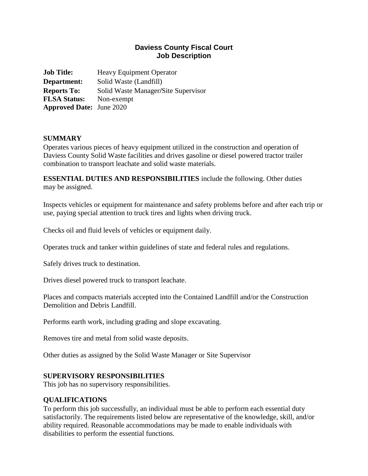## **Daviess County Fiscal Court Job Description**

**Job Title:** Heavy Equipment Operator **Department:** Solid Waste (Landfill) **Reports To:** Solid Waste Manager**/**Site Supervisor **FLSA Status:** Non-exempt **Approved Date:** June 2020

#### **SUMMARY**

Operates various pieces of heavy equipment utilized in the construction and operation of Daviess County Solid Waste facilities and drives gasoline or diesel powered tractor trailer combination to transport leachate and solid waste materials.

**ESSENTIAL DUTIES AND RESPONSIBILITIES** include the following. Other duties may be assigned.

Inspects vehicles or equipment for maintenance and safety problems before and after each trip or use, paying special attention to truck tires and lights when driving truck.

Checks oil and fluid levels of vehicles or equipment daily.

Operates truck and tanker within guidelines of state and federal rules and regulations.

Safely drives truck to destination.

Drives diesel powered truck to transport leachate.

Places and compacts materials accepted into the Contained Landfill and/or the Construction Demolition and Debris Landfill.

Performs earth work, including grading and slope excavating.

Removes tire and metal from solid waste deposits.

Other duties as assigned by the Solid Waste Manager or Site Supervisor

#### **SUPERVISORY RESPONSIBILITIES**

This job has no supervisory responsibilities.

#### **QUALIFICATIONS**

To perform this job successfully, an individual must be able to perform each essential duty satisfactorily. The requirements listed below are representative of the knowledge, skill, and/or ability required. Reasonable accommodations may be made to enable individuals with disabilities to perform the essential functions.